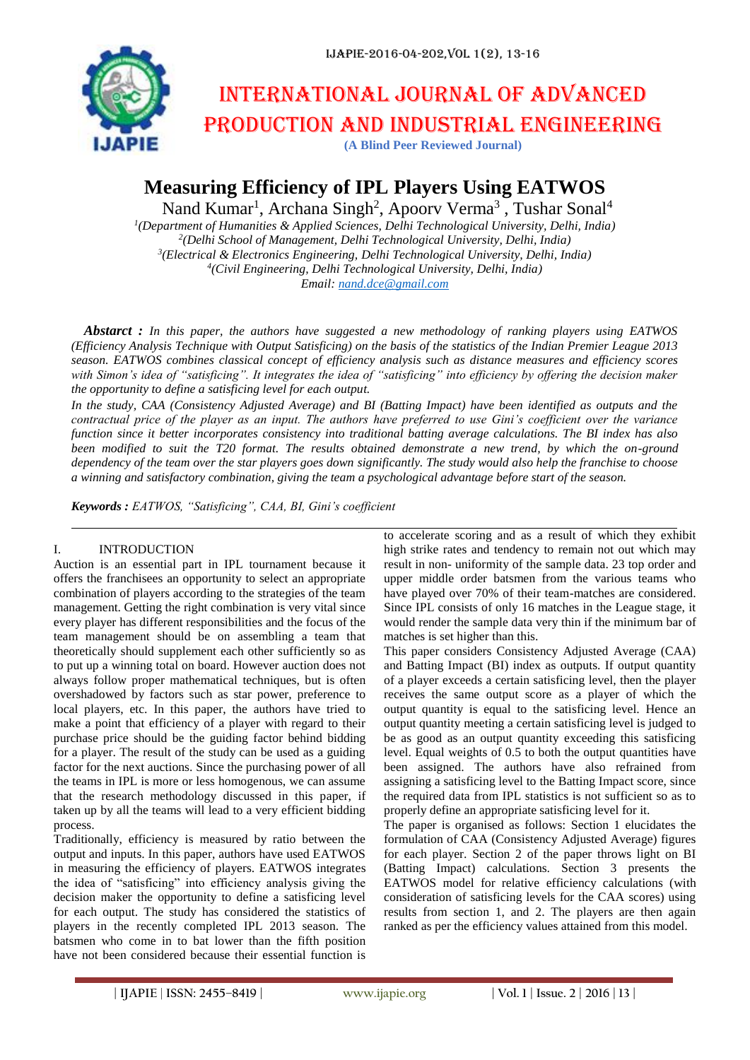

# International journal of advanced production and industrial engineering

**(A Blind Peer Reviewed Journal)**

# **Measuring Efficiency of IPL Players Using EATWOS**

Nand Kumar<sup>1</sup>, Archana Singh<sup>2</sup>, Apoorv Verma<sup>3</sup>, Tushar Sonal<sup>4</sup>

 *(Department of Humanities & Applied Sciences, Delhi Technological University, Delhi, India) (Delhi School of Management, Delhi Technological University, Delhi, India) (Electrical & Electronics Engineering, Delhi Technological University, Delhi, India) (Civil Engineering, Delhi Technological University, Delhi, India) Email[: nand.dce@gmail.com](mailto:nand.dce@gmail.com)*

*Abstarct : In this paper, the authors have suggested a new methodology of ranking players using EATWOS (Efficiency Analysis Technique with Output Satisficing) on the basis of the statistics of the Indian Premier League 2013 season. EATWOS combines classical concept of efficiency analysis such as distance measures and efficiency scores with Simon's idea of "satisficing". It integrates the idea of "satisficing" into efficiency by offering the decision maker the opportunity to define a satisficing level for each output.*

*In the study, CAA (Consistency Adjusted Average) and BI (Batting Impact) have been identified as outputs and the contractual price of the player as an input. The authors have preferred to use Gini's coefficient over the variance function since it better incorporates consistency into traditional batting average calculations. The BI index has also been modified to suit the T20 format. The results obtained demonstrate a new trend, by which the on-ground dependency of the team over the star players goes down significantly. The study would also help the franchise to choose a winning and satisfactory combination, giving the team a psychological advantage before start of the season.*

*Keywords : EATWOS, "Satisficing", CAA, BI, Gini's coefficient*

# I. INTRODUCTION

Auction is an essential part in IPL tournament because it offers the franchisees an opportunity to select an appropriate combination of players according to the strategies of the team management. Getting the right combination is very vital since every player has different responsibilities and the focus of the team management should be on assembling a team that theoretically should supplement each other sufficiently so as to put up a winning total on board. However auction does not always follow proper mathematical techniques, but is often overshadowed by factors such as star power, preference to local players, etc. In this paper, the authors have tried to make a point that efficiency of a player with regard to their purchase price should be the guiding factor behind bidding for a player. The result of the study can be used as a guiding factor for the next auctions. Since the purchasing power of all the teams in IPL is more or less homogenous, we can assume that the research methodology discussed in this paper, if taken up by all the teams will lead to a very efficient bidding process.

Traditionally, efficiency is measured by ratio between the output and inputs. In this paper, authors have used EATWOS in measuring the efficiency of players. EATWOS integrates the idea of "satisficing" into efficiency analysis giving the decision maker the opportunity to define a satisficing level for each output. The study has considered the statistics of players in the recently completed IPL 2013 season. The batsmen who come in to bat lower than the fifth position have not been considered because their essential function is

to accelerate scoring and as a result of which they exhibit high strike rates and tendency to remain not out which may result in non- uniformity of the sample data. 23 top order and upper middle order batsmen from the various teams who have played over 70% of their team-matches are considered. Since IPL consists of only 16 matches in the League stage, it would render the sample data very thin if the minimum bar of matches is set higher than this.

This paper considers Consistency Adjusted Average (CAA) and Batting Impact (BI) index as outputs. If output quantity of a player exceeds a certain satisficing level, then the player receives the same output score as a player of which the output quantity is equal to the satisficing level. Hence an output quantity meeting a certain satisficing level is judged to be as good as an output quantity exceeding this satisficing level. Equal weights of 0.5 to both the output quantities have been assigned. The authors have also refrained from assigning a satisficing level to the Batting Impact score, since the required data from IPL statistics is not sufficient so as to properly define an appropriate satisficing level for it.

The paper is organised as follows: Section 1 elucidates the formulation of CAA (Consistency Adjusted Average) figures for each player. Section 2 of the paper throws light on BI (Batting Impact) calculations. Section 3 presents the EATWOS model for relative efficiency calculations (with consideration of satisficing levels for the CAA scores) using results from section 1, and 2. The players are then again ranked as per the efficiency values attained from this model.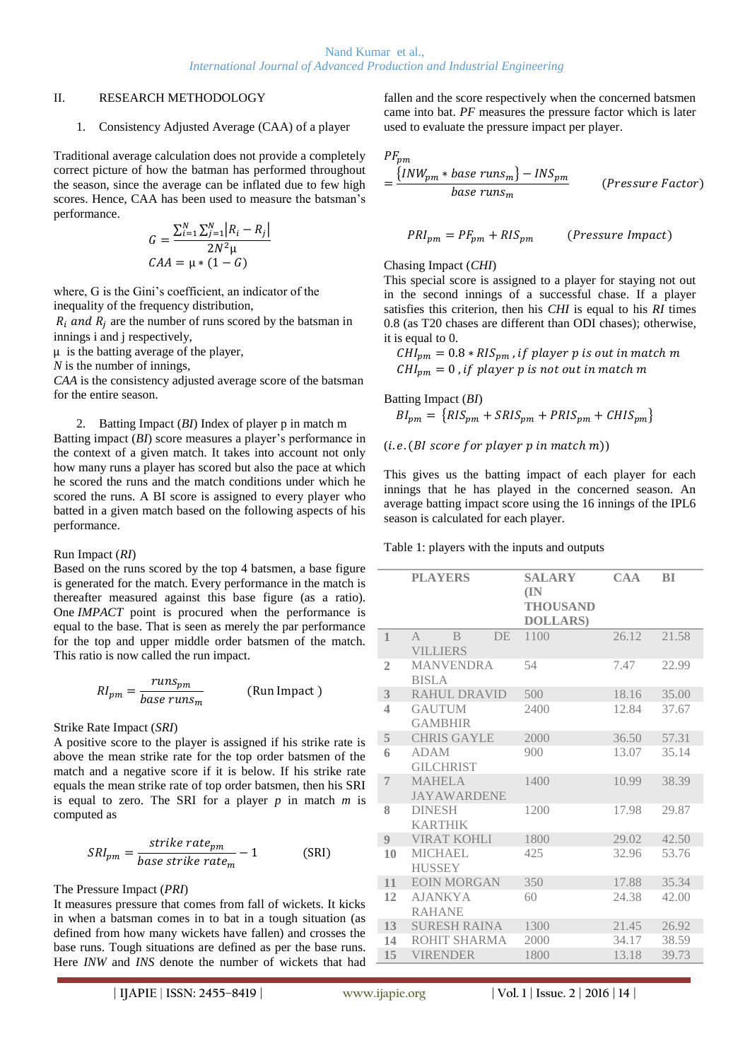## II. RESEARCH METHODOLOGY

#### 1. Consistency Adjusted Average (CAA) of a player

Traditional average calculation does not provide a completely correct picture of how the batman has performed throughout the season, since the average can be inflated due to few high scores. Hence, CAA has been used to measure the batsman's performance.

$$
G = \frac{\sum_{i=1}^{N} \sum_{j=1}^{N} |R_i - R_j|}{2N^2 \mu}
$$
  
CAA =  $\mu * (1 - G)$ 

where, G is the Gini's coefficient, an indicator of the inequality of the frequency distribution,

 $R_i$  and  $R_j$  are the number of runs scored by the batsman in innings i and j respectively,

 $\mu$  is the batting average of the player,

*N* is the number of innings,

*CAA* is the consistency adjusted average score of the batsman for the entire season.

# 2. Batting Impact (*BI*) Index of player p in match m

Batting impact (*BI*) score measures a player's performance in the context of a given match. It takes into account not only how many runs a player has scored but also the pace at which he scored the runs and the match conditions under which he scored the runs. A BI score is assigned to every player who batted in a given match based on the following aspects of his performance.

#### Run Impact (*RI*)

Based on the runs scored by the top 4 batsmen, a base figure is generated for the match. Every performance in the match is thereafter measured against this base figure (as a ratio). One *IMPACT* point is procured when the performance is equal to the base. That is seen as merely the par performance for the top and upper middle order batsmen of the match. This ratio is now called the run impact.

$$
RI_{pm} = \frac{runs_{pm}}{base\ runs_m}
$$
 (Run Impact)

## Strike Rate Impact (*SRI*)

A positive score to the player is assigned if his strike rate is above the mean strike rate for the top order batsmen of the match and a negative score if it is below. If his strike rate equals the mean strike rate of top order batsmen, then his SRI is equal to zero. The SRI for a player *p* in match *m* is computed as

$$
SRI_{pm} = \frac{strike\ rate_{pm}}{base\ strike\ rate_{m}} - 1
$$
 (SRI)

## The Pressure Impact (*PRI*)

It measures pressure that comes from fall of wickets. It kicks in when a batsman comes in to bat in a tough situation (as defined from how many wickets have fallen) and crosses the base runs. Tough situations are defined as per the base runs. Here *INW* and *INS* denote the number of wickets that had fallen and the score respectively when the concerned batsmen came into bat. *PF* measures the pressure factor which is later used to evaluate the pressure impact per player.

$$
PF_{pm}
$$

$$
= \frac{\{INW_{pm} * base \ runs_m\} - INS_{pm}}{base \ runs_m}
$$
 (Pressure Factor)

$$
PRI_{pm} = PF_{pm} + RIS_{pm}
$$
 (Pressure Impact)

### Chasing Impact (*CHI*)

This special score is assigned to a player for staying not out in the second innings of a successful chase. If a player satisfies this criterion, then his *CHI* is equal to his *RI* times 0.8 (as T20 chases are different than ODI chases); otherwise, it is equal to 0.

 $CHI_{pm} = 0.8 * RIS_{pm}$ , if player p is out in match m  $CHI_{nm} = 0$ , if player p is not out in match m

$$
Buting Impact (BI)
$$
  

$$
BI_{pm} = \{RIS_{pm} + SRIS_{pm} + PRIS_{pm} + CHIS_{pm}\}
$$

 $(i.e. (BI score for player p in match m))$ 

This gives us the batting impact of each player for each innings that he has played in the concerned season. An average batting impact score using the 16 innings of the IPL6 season is calculated for each player.

Table 1: players with the inputs and outputs

|                | <b>PLAYERS</b>                                        | <b>SALARY</b><br>(IN<br><b>THOUSAND</b><br><b>DOLLARS</b> ) | CAA   | <b>BI</b> |
|----------------|-------------------------------------------------------|-------------------------------------------------------------|-------|-----------|
| $\mathbf{1}$   | $\mathsf{A}$<br><sub>R</sub><br>DE<br><b>VILLIERS</b> | 1100                                                        | 26.12 | 21.58     |
| $\overline{2}$ | <b>MANVENDRA</b><br><b>BISLA</b>                      | 54                                                          | 7.47  | 22.99     |
| 3              | RAHUL DRAVID                                          | 500                                                         | 18.16 | 35.00     |
| 4              | <b>GAUTUM</b><br><b>GAMBHIR</b>                       | 2400                                                        | 12.84 | 37.67     |
| 5              | <b>CHRIS GAYLE</b>                                    | 2000                                                        | 36.50 | 57.31     |
| 6              | <b>ADAM</b><br><b>GILCHRIST</b>                       | 900                                                         | 13.07 | 35.14     |
| $\overline{7}$ | <b>MAHELA</b><br><b>JAYAWARDENE</b>                   | 1400                                                        | 10.99 | 38.39     |
| 8              | <b>DINESH</b><br><b>KARTHIK</b>                       | 1200                                                        | 17.98 | 29.87     |
| 9              | <b>VIRAT KOHLI</b>                                    | 1800                                                        | 29.02 | 42.50     |
| 10             | <b>MICHAEL</b><br><b>HUSSEY</b>                       | 425                                                         | 32.96 | 53.76     |
| 11             | <b>EOIN MORGAN</b>                                    | 350                                                         | 17.88 | 35.34     |
| 12             | <b>AJANKYA</b><br><b>RAHANE</b>                       | 60                                                          | 24.38 | 42.00     |
| 13             | <b>SURESH RAINA</b>                                   | 1300                                                        | 21.45 | 26.92     |
| 14             | ROHIT SHARMA                                          | 2000                                                        | 34.17 | 38.59     |
| 15             | <b>VIRENDER</b>                                       | 1800                                                        | 13.18 | 39.73     |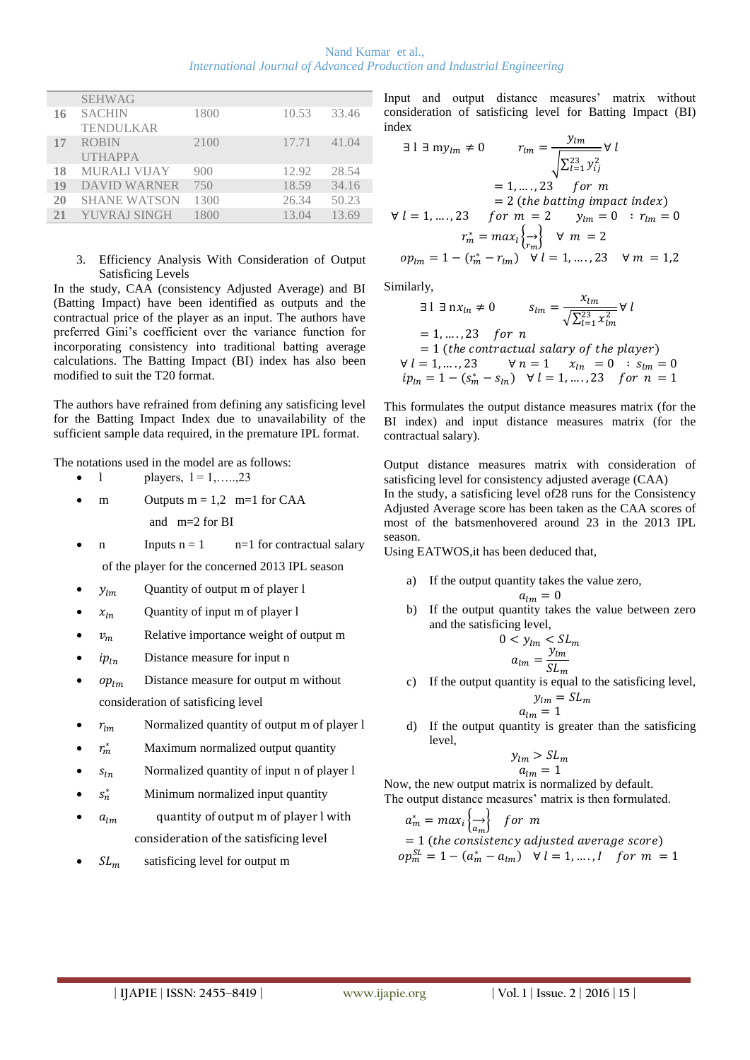| Nand Kumar et al                                                               |  |  |  |  |  |  |
|--------------------------------------------------------------------------------|--|--|--|--|--|--|
| <b>International Journal of Advanced Production and Industrial Engineering</b> |  |  |  |  |  |  |

| <b>SEHWAG</b><br><b>SACHIN</b><br>10.53<br>1800<br>33.46<br>16<br><b>TENDULKAR</b><br><b>ROBIN</b><br>17.71<br>41.04<br>2100<br>17 |                |  |  |
|------------------------------------------------------------------------------------------------------------------------------------|----------------|--|--|
|                                                                                                                                    |                |  |  |
|                                                                                                                                    |                |  |  |
|                                                                                                                                    |                |  |  |
|                                                                                                                                    |                |  |  |
|                                                                                                                                    | <b>UTHAPPA</b> |  |  |
| 28.54<br>MURALI VIJAY<br>12.92<br>900<br>18                                                                                        |                |  |  |
| 19<br>DAVID WARNER<br>18.59<br>34.16<br>750                                                                                        |                |  |  |
| 50.23<br>20<br><b>SHANE WATSON</b><br>1300<br>26.34                                                                                |                |  |  |
| 13.69<br>YUVRAJ SINGH<br>1800<br>21<br>13.04                                                                                       |                |  |  |

#### 3. Efficiency Analysis With Consideration of Output Satisficing Levels

In the study, CAA (consistency Adjusted Average) and BI (Batting Impact) have been identified as outputs and the contractual price of the player as an input. The authors have preferred Gini's coefficient over the variance function for incorporating consistency into traditional batting average calculations. The Batting Impact (BI) index has also been modified to suit the T20 format.

The authors have refrained from defining any satisficing level for the Batting Impact Index due to unavailability of the sufficient sample data required, in the premature IPL format.

The notations used in the model are as follows:

- $1$  players,  $1 = 1, \ldots, 23$
- m Outputs  $m = 1,2$  m=1 for CAA

and m=2 for BI

n Inputs  $n = 1$  n=1 for contractual salary

of the player for the concerned 2013 IPL season

- $y_{lm}$  Quantity of output m of player l
- $x_{ln}$  Quantity of input m of player 1
- $v_m$  Relative importance weight of output m
- $ip_{1n}$  Distance measure for input n
- $op_{lm}$  Distance measure for output m without consideration of satisficing level
- $r_{lm}$  Normalized quantity of output m of player l
- $r_m^*$ Maximum normalized output quantity
- $s_{ln}$  Normalized quantity of input n of player l
- $s_n^*$ Minimum normalized input quantity
- $a_{lm}$  quantity of output m of player l with consideration of the satisficing level
- $SL<sub>m</sub>$  satisficing level for output m

Input and output distance measures' matrix without consideration of satisficing level for Batting Impact (BI) index

$$
\exists l \exists m y_{lm} \neq 0 \qquad r_{lm} = \frac{y_{lm}}{\sqrt{\sum_{l=1}^{23} y_{ij}^2}} \forall l
$$
  
= 1, ..., 23 for m  
= 2 (the *batting impact index*)  

$$
\forall l = 1, ..., 23 \quad for \ m = 2 \qquad y_{lm} = 0 : r_{lm} = 0
$$
  

$$
r_m^* = max_l \left\{\frac{1}{r_m}\right\} \qquad \forall \ m = 2
$$
  

$$
op_{lm} = 1 - (r_m^* - r_{lm}) \qquad \forall l = 1, ..., 23 \qquad \forall \ m = 1, 2
$$

Similarly,

$$
31 \exists nx_{ln} \neq 0 \qquad s_{lm} = \frac{x_{lm}}{\sqrt{\sum_{l=1}^{23} x_{lm}^2}} \forall l
$$
  
= 1, ...., 23 for n  
= 1 (the contractual salary of the player)  

$$
\forall l = 1, ..., 23 \qquad \forall n = 1 \qquad x_{ln} = 0 \qquad s_{lm} = 0
$$
  

$$
ip_{ln} = 1 - (s_m^* - s_{ln}) \quad \forall l = 1, ..., 23 \quad for \ n = 1
$$

This formulates the output distance measures matrix (for the BI index) and input distance measures matrix (for the contractual salary).

Output distance measures matrix with consideration of satisficing level for consistency adjusted average (CAA) In the study, a satisficing level of28 runs for the Consistency Adjusted Average score has been taken as the CAA scores of most of the batsmenhovered around 23 in the 2013 IPL season.

Using EATWOS,it has been deduced that,

- a) If the output quantity takes the value zero,  $a_{lm} = 0$
- b) If the output quantity takes the value between zero and the satisficing level,

$$
0 < y_{lm} < SL_m
$$
\n
$$
a_{lm} = \frac{y_{lm}}{SL_m}
$$

c) If the output quantity is equal to the satisficing level,

$$
y_{lm} = SL_m
$$
  

$$
a_{lm} = 1
$$

d) If the output quantity is greater than the satisficing level,

$$
y_{lm} > SL_m
$$
  

$$
a_{lm} = 1
$$

Now, the new output matrix is normalized by default. The output distance measures' matrix is then formulated.

$$
a_m^* = max_i \left\{ \underset{a_m}{\longrightarrow} \right\} \quad \text{for } m
$$
\n
$$
= 1 \text{ (the consistency adjusted average score)}
$$
\n
$$
op_m^{SL} = 1 - (a_m^* - a_{lm}) \quad \forall \ l = 1, \dots, l \quad \text{for } m = 1
$$